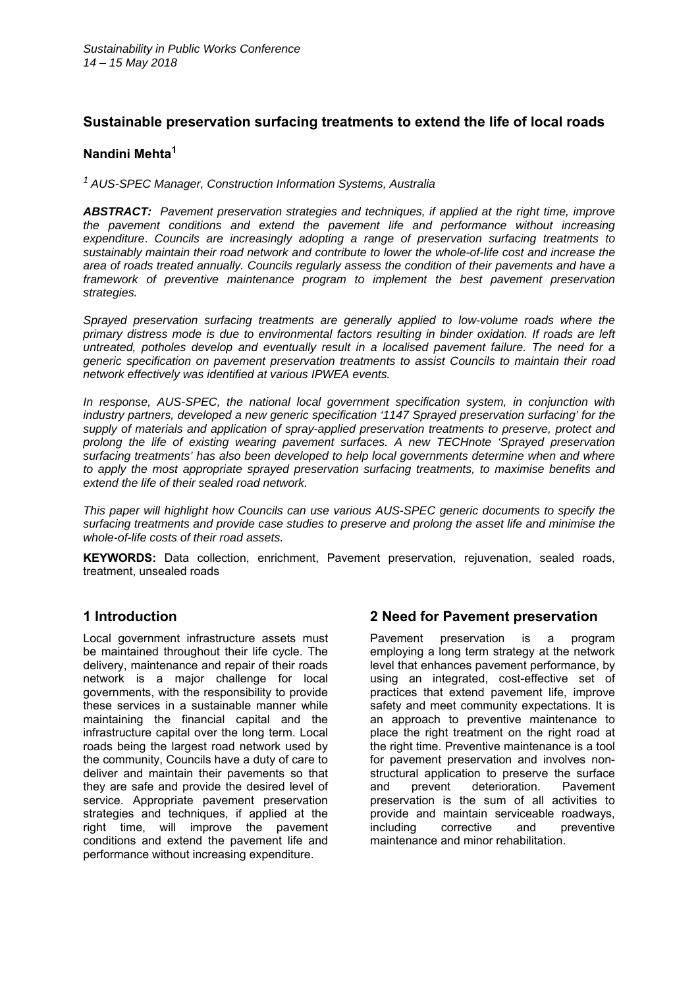## **Sustainable preservation surfacing treatments to extend the life of local roads**

#### **Nandini Mehta1**

*1 AUS-SPEC Manager, Construction Information Systems, Australia* 

*ABSTRACT: Pavement preservation strategies and techniques, if applied at the right time, improve the pavement conditions and extend the pavement life and performance without increasing expenditure*. *Councils are increasingly adopting a range of preservation surfacing treatments to sustainably maintain their road network and contribute to lower the whole-of-life cost and increase the area of roads treated annually. Councils regularly assess the condition of their pavements and have a framework of preventive maintenance program to implement the best pavement preservation strategies.* 

*Sprayed preservation surfacing treatments are generally applied to low-volume roads where the primary distress mode is due to environmental factors resulting in binder oxidation. If roads are left untreated, potholes develop and eventually result in a localised pavement failure. The need for a generic specification on pavement preservation treatments to assist Councils to maintain their road network effectively was identified at various IPWEA events.* 

*In response, AUS-SPEC, the national local government specification system, in conjunction with industry partners, developed a new generic specification '1147 Sprayed preservation surfacing' for the supply of materials and application of spray-applied preservation treatments to preserve, protect and prolong the life of existing wearing pavement surfaces. A new TECHnote 'Sprayed preservation surfacing treatments' has also been developed to help local governments determine when and where to apply the most appropriate sprayed preservation surfacing treatments, to maximise benefits and extend the life of their sealed road network.* 

*This paper will highlight how Councils can use various AUS-SPEC generic documents to specify the surfacing treatments and provide case studies to preserve and prolong the asset life and minimise the whole-of-life costs of their road assets.* 

**KEYWORDS:** Data collection, enrichment, Pavement preservation, rejuvenation, sealed roads, treatment, unsealed roads

## **1 Introduction**

Local government infrastructure assets must be maintained throughout their life cycle. The delivery, maintenance and repair of their roads network is a major challenge for local governments, with the responsibility to provide these services in a sustainable manner while maintaining the financial capital and the infrastructure capital over the long term. Local roads being the largest road network used by the community, Councils have a duty of care to deliver and maintain their pavements so that they are safe and provide the desired level of service. Appropriate pavement preservation strategies and techniques, if applied at the right time, will improve the pavement conditions and extend the pavement life and performance without increasing expenditure.

## **2 Need for Pavement preservation**

Pavement preservation is a program employing a long term strategy at the network level that enhances pavement performance, by using an integrated, cost-effective set of practices that extend pavement life, improve safety and meet community expectations. It is an approach to preventive maintenance to place the right treatment on the right road at the right time. Preventive maintenance is a tool for pavement preservation and involves nonstructural application to preserve the surface and prevent deterioration. Pavement preservation is the sum of all activities to provide and maintain serviceable roadways, including corrective and preventive maintenance and minor rehabilitation.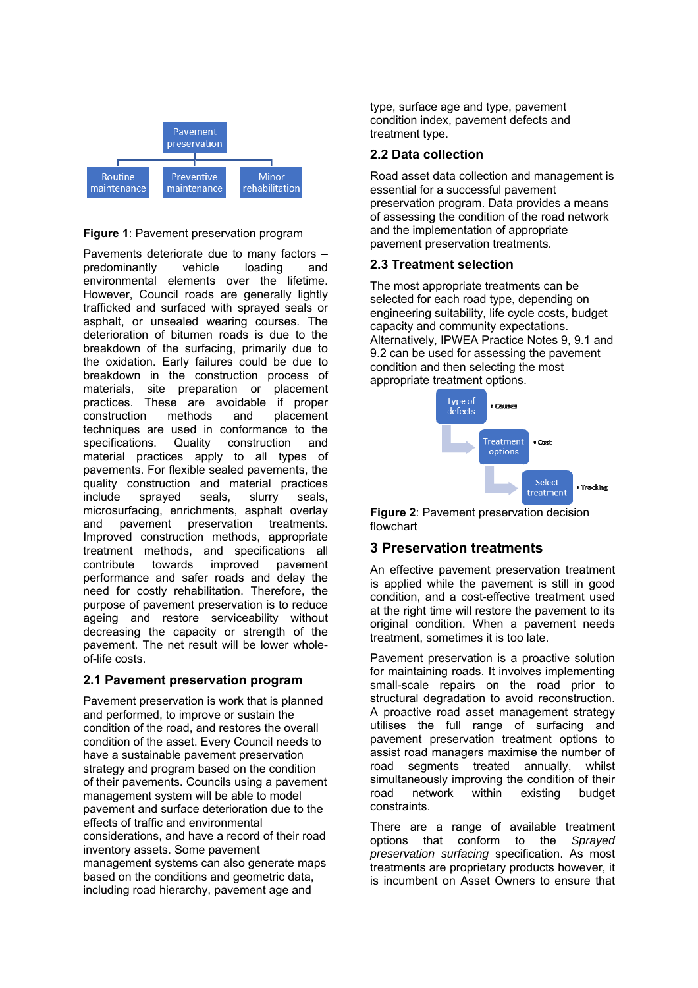

#### **Figure 1**: Pavement preservation program

Pavements deteriorate due to many factors – predominantly vehicle loading and environmental elements over the lifetime. However, Council roads are generally lightly trafficked and surfaced with sprayed seals or asphalt, or unsealed wearing courses. The deterioration of bitumen roads is due to the breakdown of the surfacing, primarily due to the oxidation. Early failures could be due to breakdown in the construction process of materials, site preparation or placement practices. These are avoidable if proper construction methods and placement techniques are used in conformance to the<br>specifications. Quality construction and specifications. Quality construction and material practices apply to all types of pavements. For flexible sealed pavements, the quality construction and material practices include sprayed seals, slurry seals, microsurfacing, enrichments, asphalt overlay and pavement preservation treatments. Improved construction methods, appropriate treatment methods, and specifications all contribute towards improved pavement performance and safer roads and delay the need for costly rehabilitation. Therefore, the purpose of pavement preservation is to reduce ageing and restore serviceability without decreasing the capacity or strength of the pavement. The net result will be lower wholeof-life costs.

## **2.1 Pavement preservation program**

Pavement preservation is work that is planned and performed, to improve or sustain the condition of the road, and restores the overall condition of the asset. Every Council needs to have a sustainable pavement preservation strategy and program based on the condition of their pavements. Councils using a pavement management system will be able to model pavement and surface deterioration due to the effects of traffic and environmental considerations, and have a record of their road inventory assets. Some pavement management systems can also generate maps based on the conditions and geometric data, including road hierarchy, pavement age and

type, surface age and type, pavement condition index, pavement defects and treatment type.

## **2.2 Data collection**

Road asset data collection and management is essential for a successful pavement preservation program. Data provides a means of assessing the condition of the road network and the implementation of appropriate pavement preservation treatments.

## **2.3 Treatment selection**

The most appropriate treatments can be selected for each road type, depending on engineering suitability, life cycle costs, budget capacity and community expectations. Alternatively, IPWEA Practice Notes 9, 9.1 and 9.2 can be used for assessing the pavement condition and then selecting the most appropriate treatment options.



**Figure 2**: Pavement preservation decision flowchart

# **3 Preservation treatments**

An effective pavement preservation treatment is applied while the pavement is still in good condition, and a cost-effective treatment used at the right time will restore the pavement to its original condition. When a pavement needs treatment, sometimes it is too late.

Pavement preservation is a proactive solution for maintaining roads. It involves implementing small-scale repairs on the road prior to structural degradation to avoid reconstruction. A proactive road asset management strategy utilises the full range of surfacing and pavement preservation treatment options to assist road managers maximise the number of road segments treated annually, whilst simultaneously improving the condition of their<br>road pretwork within existing budget network within existing budget constraints.

There are a range of available treatment options that conform to the *Sprayed preservation surfacing* specification. As most treatments are proprietary products however, it is incumbent on Asset Owners to ensure that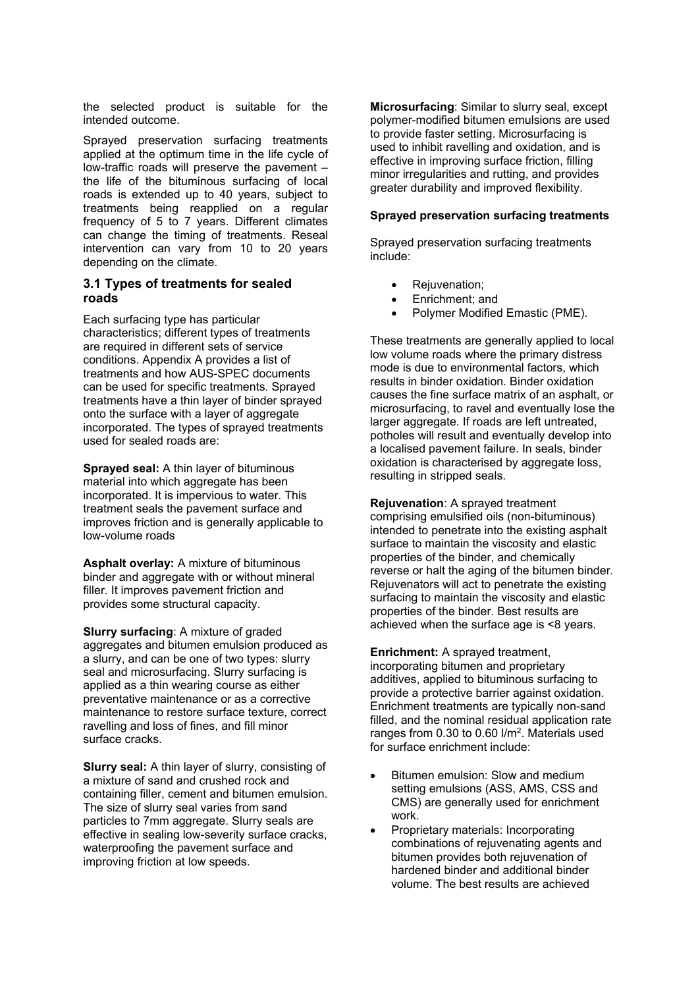the selected product is suitable for the intended outcome.

Sprayed preservation surfacing treatments applied at the optimum time in the life cycle of low-traffic roads will preserve the pavement – the life of the bituminous surfacing of local roads is extended up to 40 years, subject to treatments being reapplied on a regular frequency of 5 to 7 years. Different climates can change the timing of treatments. Reseal intervention can vary from 10 to 20 years depending on the climate.

#### **3.1 Types of treatments for sealed roads**

Each surfacing type has particular characteristics; different types of treatments are required in different sets of service conditions. Appendix A provides a list of treatments and how AUS-SPEC documents can be used for specific treatments. Sprayed treatments have a thin layer of binder sprayed onto the surface with a layer of aggregate incorporated. The types of sprayed treatments used for sealed roads are:

**Sprayed seal:** A thin layer of bituminous material into which aggregate has been incorporated. It is impervious to water. This treatment seals the pavement surface and improves friction and is generally applicable to low-volume roads

**Asphalt overlay:** A mixture of bituminous binder and aggregate with or without mineral filler. It improves pavement friction and provides some structural capacity.

**Slurry surfacing**: A mixture of graded aggregates and bitumen emulsion produced as a slurry, and can be one of two types: slurry seal and microsurfacing. Slurry surfacing is applied as a thin wearing course as either preventative maintenance or as a corrective maintenance to restore surface texture, correct ravelling and loss of fines, and fill minor surface cracks.

**Slurry seal:** A thin layer of slurry, consisting of a mixture of sand and crushed rock and containing filler, cement and bitumen emulsion. The size of slurry seal varies from sand particles to 7mm aggregate. Slurry seals are effective in sealing low-severity surface cracks, waterproofing the pavement surface and improving friction at low speeds.

**Microsurfacing**: Similar to slurry seal, except polymer-modified bitumen emulsions are used to provide faster setting. Microsurfacing is used to inhibit ravelling and oxidation, and is effective in improving surface friction, filling minor irregularities and rutting, and provides greater durability and improved flexibility.

#### **Sprayed preservation surfacing treatments**

Sprayed preservation surfacing treatments include:

- Rejuvenation;
- Enrichment; and
- Polymer Modified Emastic (PME).

These treatments are generally applied to local low volume roads where the primary distress mode is due to environmental factors, which results in binder oxidation. Binder oxidation causes the fine surface matrix of an asphalt, or microsurfacing, to ravel and eventually lose the larger aggregate. If roads are left untreated, potholes will result and eventually develop into a localised pavement failure. In seals, binder oxidation is characterised by aggregate loss, resulting in stripped seals.

**Rejuvenation**: A sprayed treatment comprising emulsified oils (non-bituminous) intended to penetrate into the existing asphalt surface to maintain the viscosity and elastic properties of the binder, and chemically reverse or halt the aging of the bitumen binder. Rejuvenators will act to penetrate the existing surfacing to maintain the viscosity and elastic properties of the binder. Best results are achieved when the surface age is <8 years.

**Enrichment:** A sprayed treatment, incorporating bitumen and proprietary additives, applied to bituminous surfacing to provide a protective barrier against oxidation. Enrichment treatments are typically non-sand filled, and the nominal residual application rate ranges from 0.30 to 0.60 l/m2. Materials used for surface enrichment include:

- Bitumen emulsion: Slow and medium setting emulsions (ASS, AMS, CSS and CMS) are generally used for enrichment work.
- Proprietary materials: Incorporating combinations of rejuvenating agents and bitumen provides both rejuvenation of hardened binder and additional binder volume. The best results are achieved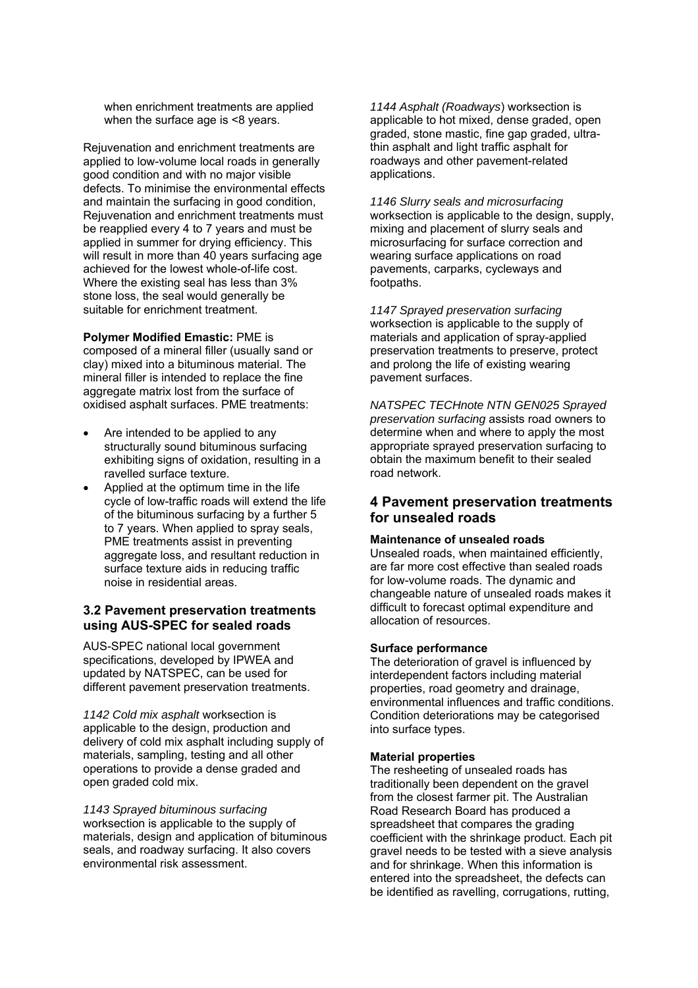when enrichment treatments are applied when the surface age is <8 years.

Rejuvenation and enrichment treatments are applied to low-volume local roads in generally good condition and with no major visible defects. To minimise the environmental effects and maintain the surfacing in good condition, Rejuvenation and enrichment treatments must be reapplied every 4 to 7 years and must be applied in summer for drying efficiency. This will result in more than 40 years surfacing age achieved for the lowest whole-of-life cost. Where the existing seal has less than 3% stone loss, the seal would generally be suitable for enrichment treatment.

**Polymer Modified Emastic:** PME is composed of a mineral filler (usually sand or clay) mixed into a bituminous material. The mineral filler is intended to replace the fine aggregate matrix lost from the surface of oxidised asphalt surfaces. PME treatments:

- Are intended to be applied to any structurally sound bituminous surfacing exhibiting signs of oxidation, resulting in a ravelled surface texture.
- Applied at the optimum time in the life cycle of low-traffic roads will extend the life of the bituminous surfacing by a further 5 to 7 years. When applied to spray seals, PME treatments assist in preventing aggregate loss, and resultant reduction in surface texture aids in reducing traffic noise in residential areas.

#### **3.2 Pavement preservation treatments using AUS-SPEC for sealed roads**

AUS-SPEC national local government specifications, developed by IPWEA and updated by NATSPEC, can be used for different pavement preservation treatments.

*1142 Cold mix asphalt* worksection is applicable to the design, production and delivery of cold mix asphalt including supply of materials, sampling, testing and all other operations to provide a dense graded and open graded cold mix.

*1143 Sprayed bituminous surfacing* worksection is applicable to the supply of materials, design and application of bituminous seals, and roadway surfacing. It also covers environmental risk assessment.

*1144 Asphalt (Roadways*) worksection is applicable to hot mixed, dense graded, open graded, stone mastic, fine gap graded, ultrathin asphalt and light traffic asphalt for roadways and other pavement-related applications.

*1146 Slurry seals and microsurfacing*  worksection is applicable to the design, supply, mixing and placement of slurry seals and microsurfacing for surface correction and wearing surface applications on road pavements, carparks, cycleways and footpaths.

*1147 Sprayed preservation surfacing*  worksection is applicable to the supply of materials and application of spray-applied preservation treatments to preserve, protect and prolong the life of existing wearing pavement surfaces.

*NATSPEC TECHnote NTN GEN025 Sprayed preservation surfacing* assists road owners to determine when and where to apply the most appropriate sprayed preservation surfacing to obtain the maximum benefit to their sealed road network.

## **4 Pavement preservation treatments for unsealed roads**

#### **Maintenance of unsealed roads**

Unsealed roads, when maintained efficiently, are far more cost effective than sealed roads for low-volume roads. The dynamic and changeable nature of unsealed roads makes it difficult to forecast optimal expenditure and allocation of resources.

#### **Surface performance**

The deterioration of gravel is influenced by interdependent factors including material properties, road geometry and drainage, environmental influences and traffic conditions. Condition deteriorations may be categorised into surface types.

#### **Material properties**

The resheeting of unsealed roads has traditionally been dependent on the gravel from the closest farmer pit. The Australian Road Research Board has produced a spreadsheet that compares the grading coefficient with the shrinkage product. Each pit gravel needs to be tested with a sieve analysis and for shrinkage. When this information is entered into the spreadsheet, the defects can be identified as ravelling, corrugations, rutting,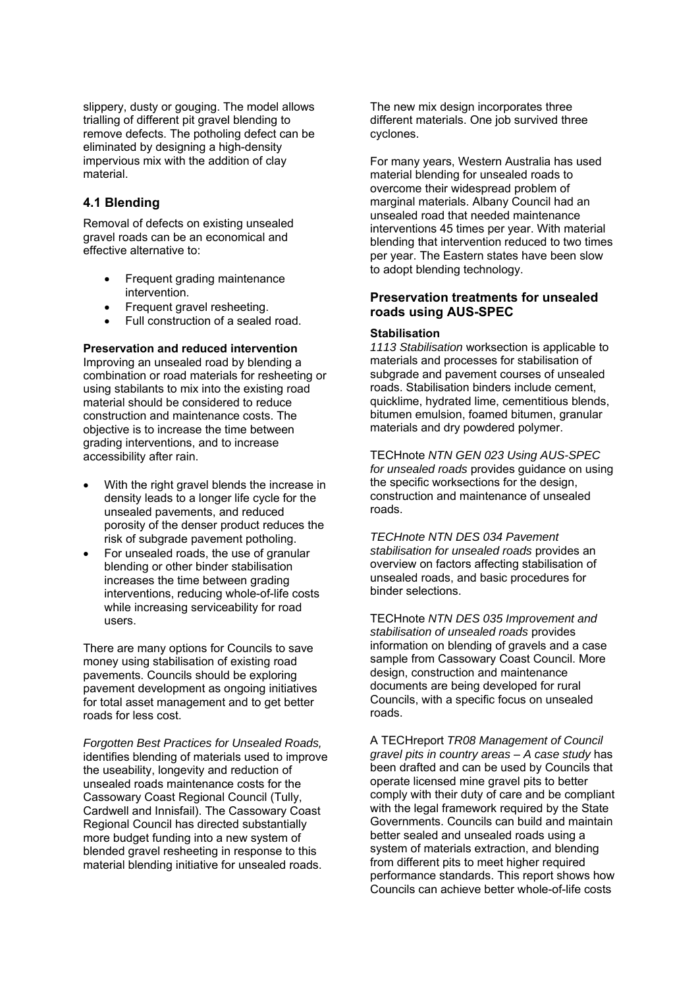slippery, dusty or gouging. The model allows trialling of different pit gravel blending to remove defects. The potholing defect can be eliminated by designing a high-density impervious mix with the addition of clay material.

#### **4.1 Blending**

Removal of defects on existing unsealed gravel roads can be an economical and effective alternative to:

- Frequent grading maintenance intervention.
- Frequent gravel resheeting.
- Full construction of a sealed road.

**Preservation and reduced intervention**  Improving an unsealed road by blending a combination or road materials for resheeting or using stabilants to mix into the existing road material should be considered to reduce construction and maintenance costs. The objective is to increase the time between grading interventions, and to increase accessibility after rain.

- With the right gravel blends the increase in density leads to a longer life cycle for the unsealed pavements, and reduced porosity of the denser product reduces the risk of subgrade pavement potholing.
- For unsealed roads, the use of granular blending or other binder stabilisation increases the time between grading interventions, reducing whole-of-life costs while increasing serviceability for road users.

There are many options for Councils to save money using stabilisation of existing road pavements. Councils should be exploring pavement development as ongoing initiatives for total asset management and to get better roads for less cost.

*Forgotten Best Practices for Unsealed Roads,*  identifies blending of materials used to improve the useability, longevity and reduction of unsealed roads maintenance costs for the Cassowary Coast Regional Council (Tully, Cardwell and Innisfail). The Cassowary Coast Regional Council has directed substantially more budget funding into a new system of blended gravel resheeting in response to this material blending initiative for unsealed roads.

The new mix design incorporates three different materials. One job survived three cyclones.

For many years, Western Australia has used material blending for unsealed roads to overcome their widespread problem of marginal materials. Albany Council had an unsealed road that needed maintenance interventions 45 times per year. With material blending that intervention reduced to two times per year. The Eastern states have been slow to adopt blending technology.

#### **Preservation treatments for unsealed roads using AUS-SPEC**

#### **Stabilisation**

*1113 Stabilisation* worksection is applicable to materials and processes for stabilisation of subgrade and pavement courses of unsealed roads. Stabilisation binders include cement, quicklime, hydrated lime, cementitious blends, bitumen emulsion, foamed bitumen, granular materials and dry powdered polymer.

TECHnote *NTN GEN 023 Using AUS-SPEC for unsealed roads* provides guidance on using the specific worksections for the design, construction and maintenance of unsealed roads.

*TECHnote NTN DES 034 Pavement stabilisation for unsealed roads* provides an overview on factors affecting stabilisation of unsealed roads, and basic procedures for binder selections.

TECHnote *NTN DES 035 Improvement and stabilisation of unsealed roads* provides information on blending of gravels and a case sample from Cassowary Coast Council. More design, construction and maintenance documents are being developed for rural Councils, with a specific focus on unsealed roads.

A TECHreport *TR08 Management of Council gravel pits in country areas – A case study* has been drafted and can be used by Councils that operate licensed mine gravel pits to better comply with their duty of care and be compliant with the legal framework required by the State Governments. Councils can build and maintain better sealed and unsealed roads using a system of materials extraction, and blending from different pits to meet higher required performance standards. This report shows how Councils can achieve better whole-of-life costs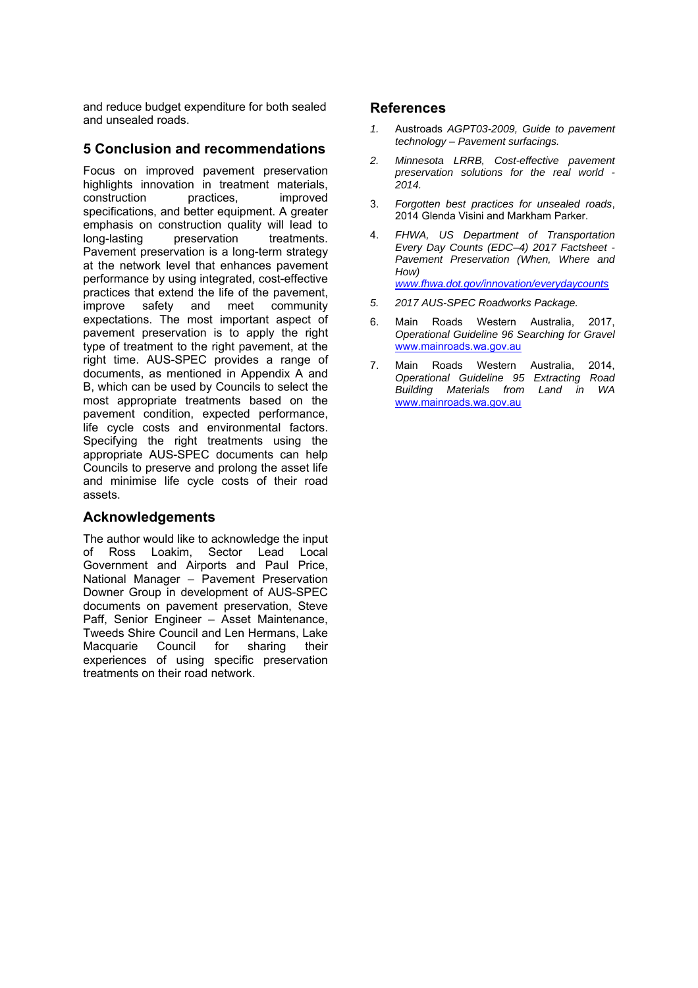and reduce budget expenditure for both sealed and unsealed roads.

## **5 Conclusion and recommendations**

Focus on improved pavement preservation highlights innovation in treatment materials, construction practices, improved specifications, and better equipment. A greater emphasis on construction quality will lead to long-lasting preservation treatments. Pavement preservation is a long-term strategy at the network level that enhances pavement performance by using integrated, cost-effective practices that extend the life of the pavement, improve safety and meet community expectations. The most important aspect of pavement preservation is to apply the right type of treatment to the right pavement, at the right time. AUS-SPEC provides a range of documents, as mentioned in Appendix A and B, which can be used by Councils to select the most appropriate treatments based on the pavement condition, expected performance, life cycle costs and environmental factors. Specifying the right treatments using the appropriate AUS-SPEC documents can help Councils to preserve and prolong the asset life and minimise life cycle costs of their road assets.

## **Acknowledgements**

The author would like to acknowledge the input of Ross Loakim, Sector Lead Local Government and Airports and Paul Price, National Manager – Pavement Preservation Downer Group in development of AUS-SPEC documents on pavement preservation, Steve Paff, Senior Engineer – Asset Maintenance, Tweeds Shire Council and Len Hermans, Lake Macquarie Council for sharing their experiences of using specific preservation treatments on their road network.

#### **References**

- *1.* Austroads *AGPT03-2009, Guide to pavement technology – Pavement surfacings.*
- *2. Minnesota LRRB, Cost-effective pavement preservation solutions for the real world - 2014.*
- 3. *Forgotten best practices for unsealed roads*, 2014 Glenda Visini and Markham Parker.
- 4. *FHWA, US Department of Transportation Every Day Counts (EDC–4) 2017 Factsheet - Pavement Preservation (When, Where and How) www.fhwa.dot.gov/innovation/everydaycounts*
- *5. 2017 AUS-SPEC Roadworks Package.*
- 6. Main Roads Western Australia, 2017, *Operational Guideline 96 Searching for Gravel* www.mainroads.wa.gov.au
- 7. Main Roads Western Australia, 2014, *Operational Guideline 95 Extracting Road Building Materials from Land in WA* www.mainroads.wa.gov.au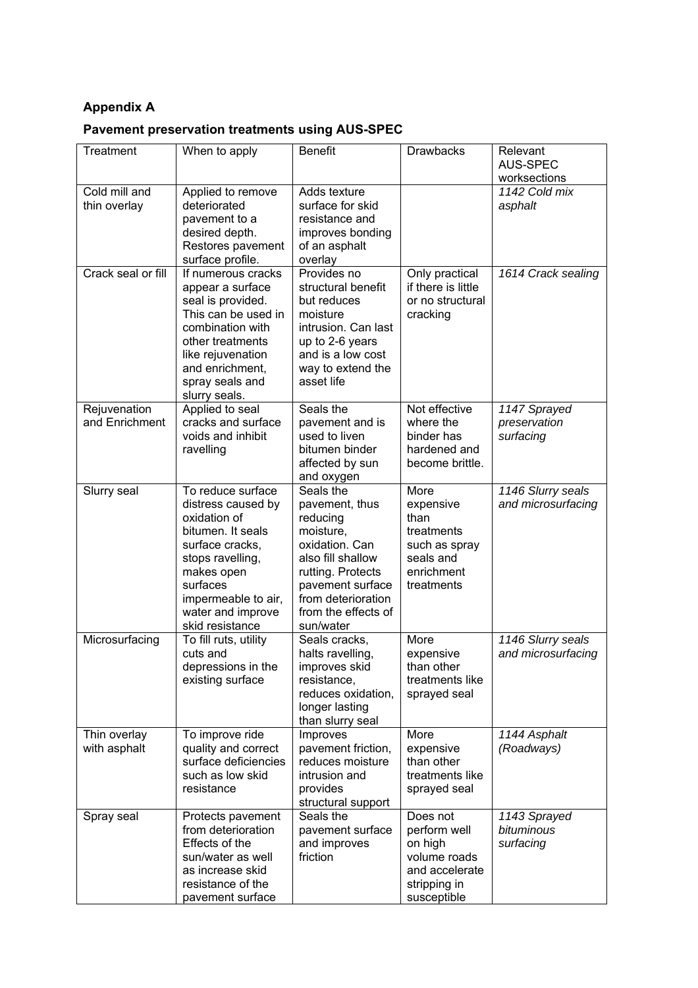# **Appendix A**

# **Pavement preservation treatments using AUS-SPEC**

| Treatment                      | When to apply                                                                                                                                                                                                | <b>Benefit</b>                                                                                                                                                                                 | <b>Drawbacks</b>                                                                                     | Relevant<br><b>AUS-SPEC</b><br>worksections |
|--------------------------------|--------------------------------------------------------------------------------------------------------------------------------------------------------------------------------------------------------------|------------------------------------------------------------------------------------------------------------------------------------------------------------------------------------------------|------------------------------------------------------------------------------------------------------|---------------------------------------------|
| Cold mill and<br>thin overlay  | Applied to remove<br>deteriorated<br>pavement to a<br>desired depth.<br>Restores pavement<br>surface profile.                                                                                                | Adds texture<br>surface for skid<br>resistance and<br>improves bonding<br>of an asphalt<br>overlay                                                                                             |                                                                                                      | 1142 Cold mix<br>asphalt                    |
| Crack seal or fill             | If numerous cracks<br>appear a surface<br>seal is provided.<br>This can be used in<br>combination with<br>other treatments<br>like rejuvenation<br>and enrichment,<br>spray seals and<br>slurry seals.       | Provides no<br>structural benefit<br>but reduces<br>moisture<br>intrusion. Can last<br>up to 2-6 years<br>and is a low cost<br>way to extend the<br>asset life                                 | Only practical<br>if there is little<br>or no structural<br>cracking                                 | 1614 Crack sealing                          |
| Rejuvenation<br>and Enrichment | Applied to seal<br>cracks and surface<br>voids and inhibit<br>ravelling                                                                                                                                      | Seals the<br>pavement and is<br>used to liven<br>bitumen binder<br>affected by sun<br>and oxygen                                                                                               | Not effective<br>where the<br>binder has<br>hardened and<br>become brittle.                          | 1147 Sprayed<br>preservation<br>surfacing   |
| Slurry seal                    | To reduce surface<br>distress caused by<br>oxidation of<br>bitumen. It seals<br>surface cracks,<br>stops ravelling,<br>makes open<br>surfaces<br>impermeable to air,<br>water and improve<br>skid resistance | Seals the<br>pavement, thus<br>reducing<br>moisture,<br>oxidation. Can<br>also fill shallow<br>rutting. Protects<br>pavement surface<br>from deterioration<br>from the effects of<br>sun/water | More<br>expensive<br>than<br>treatments<br>such as spray<br>seals and<br>enrichment<br>treatments    | 1146 Slurry seals<br>and microsurfacing     |
| Microsurfacing                 | To fill ruts, utility<br>cuts and<br>depressions in the<br>existing surface                                                                                                                                  | Seals cracks,<br>halts ravelling,<br>improves skid<br>resistance,<br>reduces oxidation,<br>longer lasting<br>than slurry seal                                                                  | More<br>expensive<br>than other<br>treatments like<br>sprayed seal                                   | 1146 Slurry seals<br>and microsurfacing     |
| Thin overlay<br>with asphalt   | To improve ride<br>quality and correct<br>surface deficiencies<br>such as low skid<br>resistance                                                                                                             | Improves<br>pavement friction,<br>reduces moisture<br>intrusion and<br>provides<br>structural support                                                                                          | More<br>expensive<br>than other<br>treatments like<br>sprayed seal                                   | 1144 Asphalt<br>(Roadways)                  |
| Spray seal                     | Protects pavement<br>from deterioration<br>Effects of the<br>sun/water as well<br>as increase skid<br>resistance of the<br>pavement surface                                                                  | Seals the<br>pavement surface<br>and improves<br>friction                                                                                                                                      | Does not<br>perform well<br>on high<br>volume roads<br>and accelerate<br>stripping in<br>susceptible | 1143 Sprayed<br>bituminous<br>surfacing     |